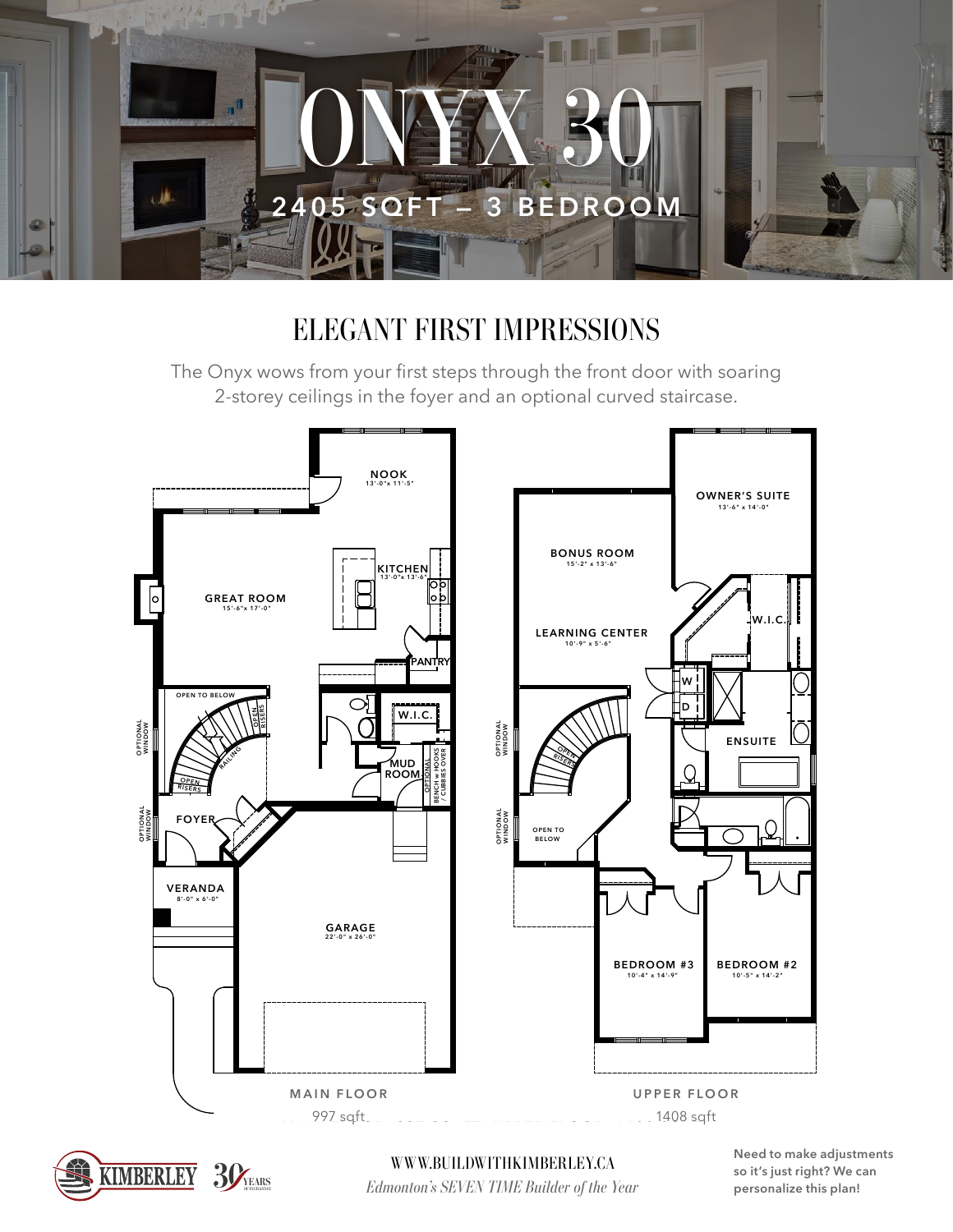

## ELEGANT FIRST IMPRESSIONS

The Onyx wows from your first steps through the front door with soaring 2-storey ceilings in the foyer and an optional curved staircase.





*Edmonton's SEVEN TIME Builder of the Year* **WWW.BUILDWITHKIMBERLEY.CA**  **Need to make adjustments so it's just right? We can personalize this plan!**